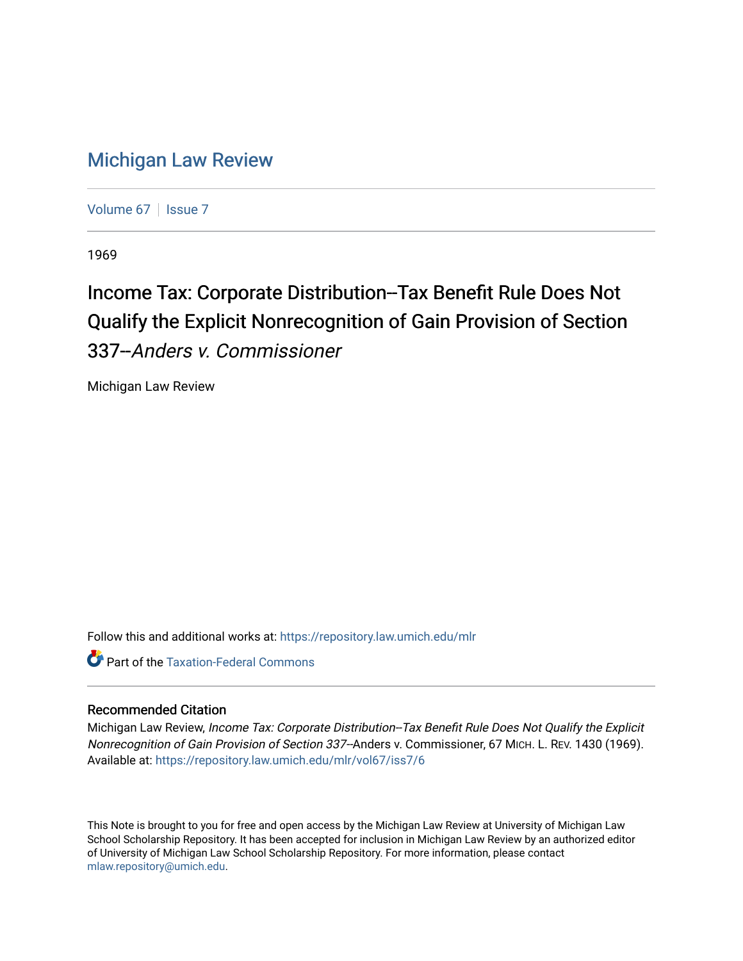# [Michigan Law Review](https://repository.law.umich.edu/mlr)

[Volume 67](https://repository.law.umich.edu/mlr/vol67) | [Issue 7](https://repository.law.umich.edu/mlr/vol67/iss7)

1969

# Income Tax: Corporate Distribution--Tax Benefit Rule Does Not Qualify the Explicit Nonrecognition of Gain Provision of Section 337--Anders v. Commissioner

Michigan Law Review

Follow this and additional works at: [https://repository.law.umich.edu/mlr](https://repository.law.umich.edu/mlr?utm_source=repository.law.umich.edu%2Fmlr%2Fvol67%2Fiss7%2F6&utm_medium=PDF&utm_campaign=PDFCoverPages) 

**C** Part of the [Taxation-Federal Commons](http://network.bepress.com/hgg/discipline/881?utm_source=repository.law.umich.edu%2Fmlr%2Fvol67%2Fiss7%2F6&utm_medium=PDF&utm_campaign=PDFCoverPages)

## Recommended Citation

Michigan Law Review, Income Tax: Corporate Distribution--Tax Benefit Rule Does Not Qualify the Explicit Nonrecognition of Gain Provision of Section 337--Anders v. Commissioner, 67 MICH. L. REV. 1430 (1969). Available at: [https://repository.law.umich.edu/mlr/vol67/iss7/6](https://repository.law.umich.edu/mlr/vol67/iss7/6?utm_source=repository.law.umich.edu%2Fmlr%2Fvol67%2Fiss7%2F6&utm_medium=PDF&utm_campaign=PDFCoverPages)

This Note is brought to you for free and open access by the Michigan Law Review at University of Michigan Law School Scholarship Repository. It has been accepted for inclusion in Michigan Law Review by an authorized editor of University of Michigan Law School Scholarship Repository. For more information, please contact [mlaw.repository@umich.edu.](mailto:mlaw.repository@umich.edu)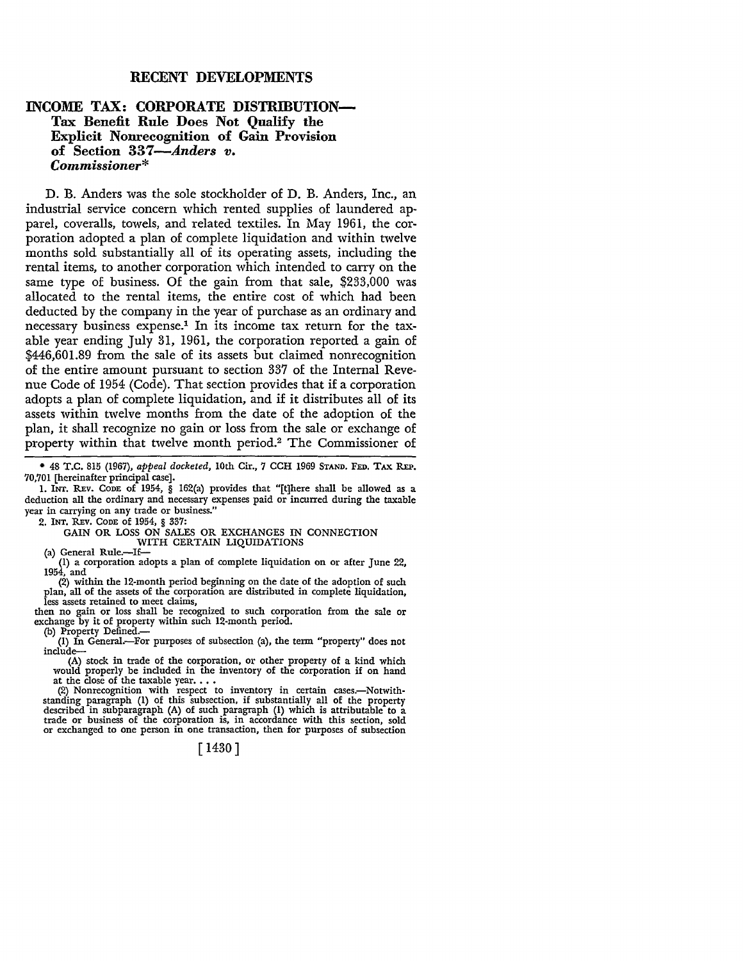#### **RECENT DEVELOPMENTS**

### **INCOME TAX: CORPORATE DISTRIBUTION-Tax Benefit Rule Does Not Qualify the Explicit Nonrecognition of Gain Provision of Section 337-Anders** *v. Commissioner\**

D. B. Anders was the sole stockholder of D. B. Anders, Inc., an industrial service concern which rented supplies of laundered apparel, coveralls, towels, and related textiles. In May 1961, the corporation adopted a plan of complete liquidation and within twelve months sold substantially all of its operating assets, including the rental items, to another corporation which intended to carry on the same type of business. Of the gain from that sale, \$233,000 was allocated to the rental items, the entire cost of which had been deducted by the company in the year of purchase as an ordinary and necessary business expense.1 In its income tax return for the taxable year ending July 31, 1961, the corporation reported a gain of \$446,601.89 from the sale of its assets but claimed nonrecognition of the entire amount pursuant to section 337 of the Internal Revenue Code of 1954 (Code). That section provides that if a corporation adopts a plan of complete liquidation, and if it distributes all of its assets within twelve months from the date of the adoption of the plan, it shall recognize no gain or loss from the sale or exchange of property within that twelve month period.2 The Commissioner of

• 48 T.C. 815 (1967), *appeal docketed,* 10th Cir., 7 CCH 1969 STAND. FED. TAX REP. 70,701 [hereinafter principal case].

1. INT. REv. CODE of 1954, § 162(a) provides that "[t]here shall be allowed as a deduction all the ordinary and necessary expenses paid or incurred during the taxable year in carrying on any trade or business."

2. !NT. REv. CODE of 1954, § 337:

GAIN OR LOSS ON SALES OR EXCHANGES IN CONNECTION

WITH CERTAIN LIQUIDATIONS (a) General Rule.--If-

(1) a corporation adopts a plan of complete liquidation on or after June 22, 1954, and

(2) within the 12-month period beginning on the date of the adoption of such plan, all of the assets of the corporation are distributed in complete liquidation, less assets retained to meet claims,

then no gain or loss shall be recognized to such corporation from the sale or exchange by it of property within such 12-month period.

(b) Property Defined.-

(!) In General.-For purposes of subsection (a), the term "property" does not include-

(A) stock in trade of the corporation, or other property of a kind which would properly be included in the inventory of the corporation if on hand when a the close of the taxable year. •.•<br>at the close of the taxable year. •.•<br>(2) Nonrecognition with respect to inventory in certain cases.—Notwith-

standing paragraph (1) of this subsection, if substantially all of the property described in subparagraph (A) of such paragraph (I) which is attributable to a trade or business of the corporation is, in accordance with thi

### [ 1430]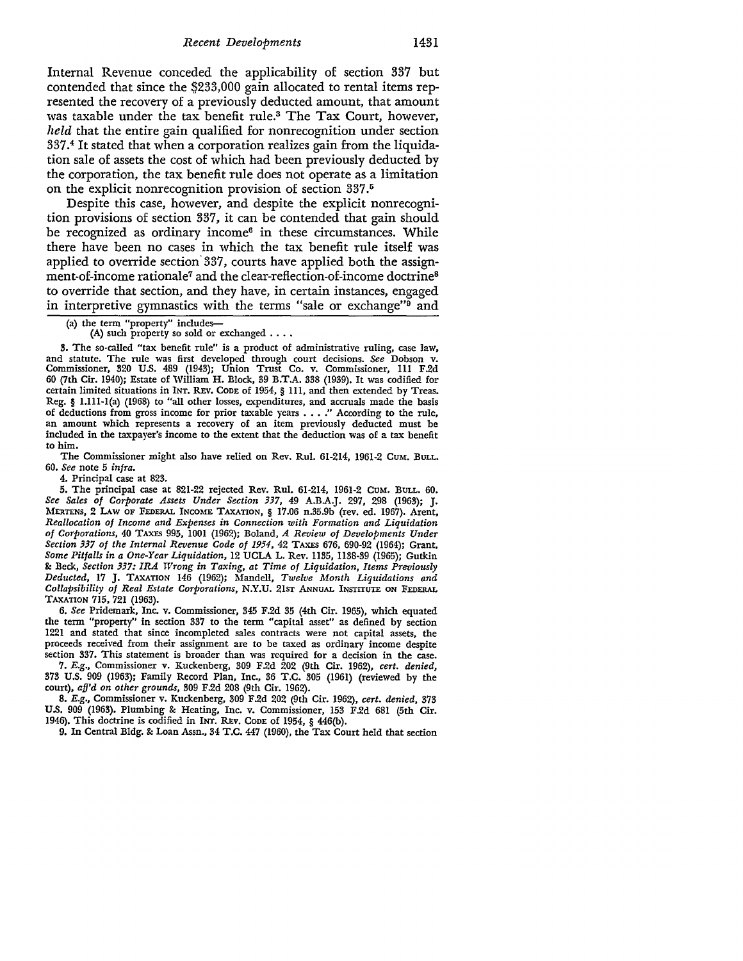Internal Revenue conceded the applicability of section 337 but contended that since the \$233,000 gain allocated to rental items represented the recovery of a previously deducted amount, that amount was taxable under the tax benefit rule.3 The Tax Court, however, *held* that the entire gain qualified for nonrecognition under section 337.4 It stated that when a corporation realizes gain from the liquidation sale of assets the cost of which had been previously deducted by the corporation, the tax benefit rule does not operate as a limitation on the explicit nonrecognition provision of section 337.<sup>5</sup>

Despite this case, however, and despite the explicit nonrecognition provisions of section 337, it can be contended that gain should be recognized as ordinary income<sup>6</sup> in these circumstances. While there have been no cases in which the tax benefit rule itself was applied to override section 337, courts have applied both the assignment-of-income rationale7 and the clear-reflection-of-income doctrine8 to override that section, and they have, in certain instances, engaged in interpretive gymnastics with the terms "sale or exchange"9 and

(A) such property so sold or exchanged  $\ldots$ .

3. The so-called "tax benefit rule" is a product of administrative ruling, case law, and statute. The rule was first developed through court decisions. *See* Dobson v. Commissioner, 320 U.S. 489 (1943); Union Trust Co. v. Commissioner, 111 F.2d 60 (7th Cir. 1940); Estate of William H. Block, 39 B.T.A. 338 (1939). It was codified for certain limited situations in INT. REv. CODE of 1954, § Ill, and then extended by Treas. Reg. § 1.111-l(a) (1968) to "all other losses, expenditures, and accruals made the basis of deductions from gross income for prior taxable years . . . ." According to the rule, an amount which represents a recovery of an item previously deducted must be included in the taxpayer's income to the extent that the deduction was of a tax benefit to him.

The Commissioner might also have relied on Rev. Rul. 61-214, 1961-2 CUM. BULL. 60. *See* note 5 *infra.* 

4. Principal case at 823.

5. The principal case at 821-22 rejected Rev. Rul. 61-214, 1961-2 CuM. BuLL. 60. *See Sales of Corporate Assets Under Section 337,* 49 A.B.A.J. 297, 298 (1963); J. MERTENS, 2 LAw OF FEDERAL INCOME TAXATION, § 17.06 n.35.9b (rev. ed. 1967). Arent, *Reallocation of Income and Expenses in Connection with Formation and Liquidation of Corporations,* 40 TAXES 995, 1001 (1962); Boland, *A Review of Developments Under Section 337 of the Internal Revenue Code of 1954,* 42 TAXES 676, 690-92 (1964); Grant, *Some Pitfalls in a One-Year Liquidation,* 12 UCLA L. Rev. 1135, 1138-39 (1965); Gutkin &: Beck, *Section 337: IRA Wrong in Taxing, at Time of Liquidation, Items Previously Deducted,* 17 J. TAXATION 146 (1962); Mandell, *Twelve Month Liquidations and Collapsibility of Real Estate Corporations,* N.Y.U. 21ST ANNUAL INSTITUTE ON FEDERAL TAXATION 715, 721 (1963).

6. *See* Pridemark, Inc. v. Commissioner, 345 F.2d 35 (4th Cir. 1965), which equated the term "property" in section 337 to the term "capital asset" as defined by section 1221 and stated that since incompleted sales contracts were not capital assets, the proceeds received from their assignment are to be taxed as ordinary income despite section 337. This statement is broader than was required for a decision in the case.

7. *E.g.,* Commissioner v. Kuckenberg, 309 F.2d 202 (9th Cir. 1962), *cert. denied,*  373 U.S. 909 (1963); Family Record Plan, Inc., 36 T.C. 305 (1961) (reviewed by the court), *afj'd on other grounds,* 309 F.2d 208 (9th Cir. 1962).

8. *E.g.,* Commissioner v. Kuckenberg, 309 F.2d 202 (9th Cir. 1962), *cert. denied,* 373 U.S. 909 (1963). Plumbing & Heating, Inc. v. Commissioner, 153 F.2d 681 (5th Cir. 1946). This doctrine is codified in INT. REv. CODE of 1954, § 446(b).

9. In Central Bldg. &: Loan Assn., 34 T.C. 447 (1960), the Tax Court held that section

<sup>(</sup>a) the term "property" includes-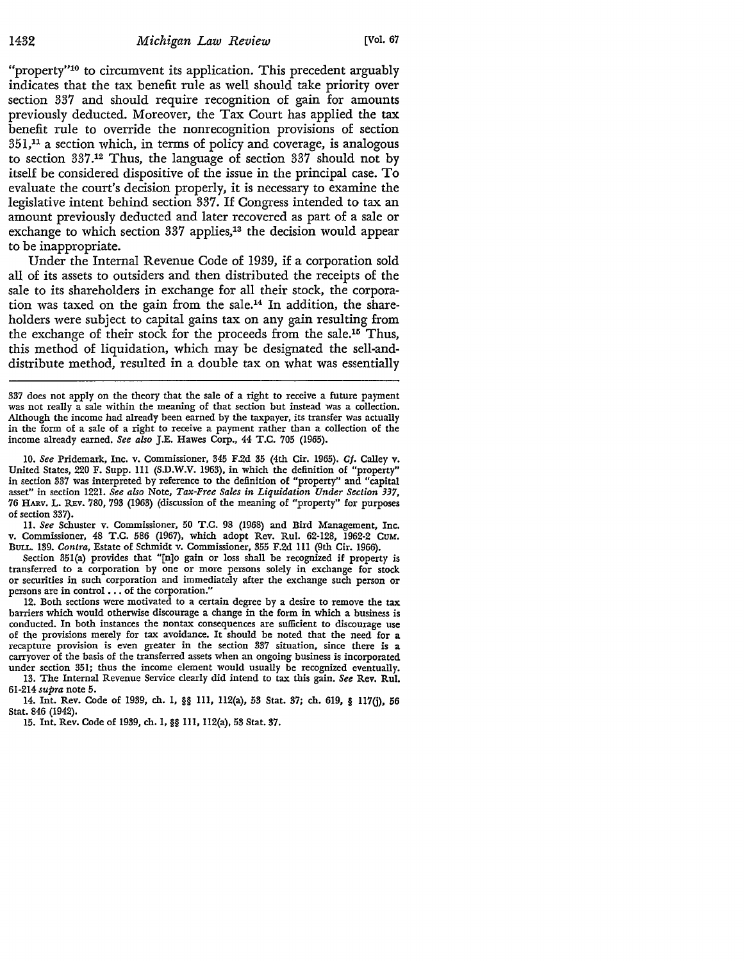"property"<sup>10</sup> to circumvent its application. This precedent arguably indicates that the tax benefit rule as well should take priority over section 337 and should require recognition of gain for amounts previously deducted. Moreover, the Tax Court has applied the tax benefit rule to override the nonrecognition provisions of section  $351<sup>11</sup>$  a section which, in terms of policy and coverage, is analogous to section 337.12 Thus, the language of section 337 should not by itself be considered dispositive of the issue in the principal case. To evaluate the court's decision properly, it is necessary to examine the legislative intent behind section 337. If Congress intended to tax an amount previously deducted and later recovered as part of a sale or exchange to which section 337 applies,<sup>13</sup> the decision would appear to be inappropriate.

Under the Internal Revenue Code of 1939, if a corporation sold all of its assets to outsiders and then distributed the receipts of the sale to its shareholders in exchange for all their stock, the corporation was taxed on the gain from the sale.14 In addition, the shareholders were subject to capital gains tax on any gain resulting from the exchange of their stock for the proceeds from the sale.15 Thus, this method of liquidation, which may be designated the sell-anddistribute method, resulted in a double tax on what was essentially

IO. *See* Pridemark, Inc. v. Commissioner, 345 F.2d 35 (4th Cir. 1965). *Cf.* Calley v. United States, 220 F. Supp. 111 (S.D.W.V. 1963), in which the definition of "property" in section 337 was interpreted by reference to the definition of "property" and "capital asset" in section 1221. *See also* Note, *Tax-Free Sales in Liquidation Under Section 337,*  76 HARV. L. REv. 780, 793 (1963) (discussion of the meaning of "property" for purposes of section 337).

II. *See* Schuster v. Commissioner, 50 T.C. 98 (1968) and Bird Management, Inc. v. Commissioner, 48 T.C. 586 (1967), which adopt Rev. Rul. 62-128, 1962-2 CUM. BuLL. 139. *Contra,* Estate of Schmidt v. Commissioner, 355 F.2d Ill (9th Cir. 1966).

Section 351(a) provides that "[n]o gain or loss shall be recognized if property is transferred to a corporation by one or more persons solely in exchange for stock or securities in such corporation and immediately after the exchange such person or persons are in control . . . of the corporation."

12. Both sections were motivated to a certain degree by a desire to remove the tax barriers which would otherwise discourage a change in the form in which a business is conducted. In both instances the nontax consequences are sufficient to discourage use of the provisions merely for tax avoidance. It should be noted that the need for a recapture provision is even greater in the section 337 situation, since there is a carryover of the basis of the transferred assets when an ongoing business is incorporated under section 351; thus the income element would usually be recognized eventually.

13. The Internal Revenue Service clearly did intend to tax this gain. *See* Rev. Rul. 61-214 *supra* note 5.

14. Int. Rev. Code of 1939, ch. 1, §§ 111, 112(a), 53 Stat. 37; ch. 619, § 117(j), 56 Stat. 846 (1942).

15. Int. Rev. Code of 1939, ch. I,§§ 111, 112(a), 53 Stat. 37.

<sup>337</sup> does not apply on the theory that the sale of a right to receive a future payment was not really a sale within the meaning of that section but instead was a collection. Although the income had already been earned by the taxpayer, its transfer was actually in the form of a sale of a right to receive a payment rather than a collection of the income already earned. *See also* J.E. Hawes Corp., 44 T.C. 705 (1965).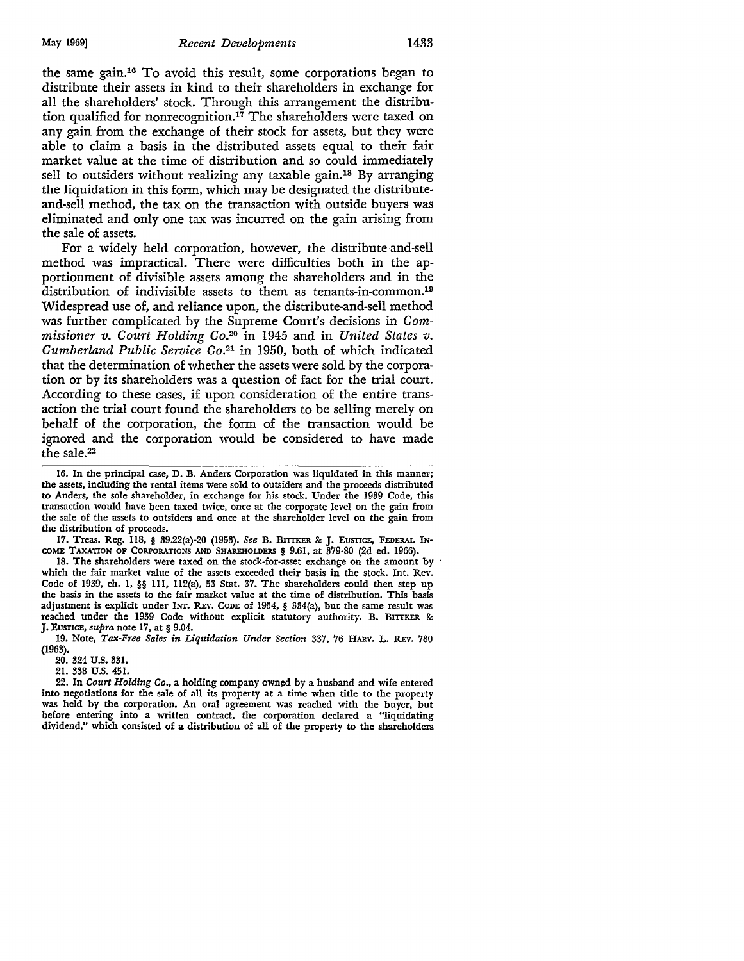#### May 1969] *Recent Developments* 1433

the same gain.16 To avoid this result, some corporations began to distribute their assets in kind to their shareholders in exchange for all the shareholders' stock. Through this arrangement the distribution qualified for nonrecognition.<sup>17</sup> The shareholders were taxed on any gain from the exchange of their stock for assets, but they were able to claim a basis in the distributed assets equal to their fair market value at the time of distribution and so could immediately sell to outsiders without realizing any taxable gain.<sup>18</sup> By arranging the liquidation in this form, which may be designated the distributeand-sell method, the tax on the transaction with outside buyers was eliminated and only one tax was incurred on the gain arising from the sale of assets.

For a widely held corporation, however, the distribute-and-sell method was impractical. There were difficulties both in the apportionment of divisible assets among the shareholders and in the distribution of indivisible assets to them as tenants-in-common.19 Widespread use of, and reliance upon, the distribute-and-sell method was further complicated by the Supreme Court's decisions in *Commissioner v. Court Holding* Co.20 in 1945 and in *United States v. Cumberland Public Service* Co.21 in 1950, both of which indicated that the determination of whether the assets were sold by the corporation or by its shareholders was a question of fact for the trial court. According to these cases, if upon consideration of the entire transaction the trial court found the shareholders to be selling merely on behalf of the corporation, the form of the transaction would be ignored and the corporation would be considered to have made the sale.22

17. Treas. Reg. 118, § 39.22(a)-20 (1953). See B. BITTKER & J. EUSTICE, FEDERAL IN-COME TAXATION OF CORPORATIONS AND SHAREHOLDERS § 9.61, at 379-80 (2d ed. 1966).

18. The shareholders were taxed on the stock-for-asset exchange on the amount by which the fair market value of the assets exceeded their basis in the stock. Int. Rev. Code of 1939, ch. 1, §§ lll, ll2(a), 53 Stat. 37. The shareholders could then step up the basis in the assets to the fair market value at the time of distribution. This basis adjustment is explicit under INT. REv. CODE of 1954, § 334(a), but the same result was reached under the 1939 Code without explicit statutory authority. B. BITTKER & J. Eusr1CE, *supra* note 17, at§ 9.04.

19. Note, Tax-Free Sales in Liquidation Under Section 337, 76 HARV. L. REV. 780 **(1963).** 

20. 324 U.S. 331.

21. 338 U.S. 451.

22. In *Court Holding Co.,* a holding company owned by a husband and wife entered into negotiations for the sale of all its property at a time when title to the property was held by the corporation. An oral agreement was reached with the buyer, but before entering into a written contract, the corporation declared a "liquidating dividend," which consisted of a distribution of all of the property to the shareholders

<sup>16.</sup> In the principal case, D. B. Anders Corporation was liquidated in this manner; the assets, including the rental items were sold to outsiders and the proceeds distributed **to** Anders, the sole shareholder, in exchange for his stock. Under the 1939 Code, this transaction would have been taxed twice, once at the corporate level on the gain from the sale of the assets to outsiders and once at the shareholder level on the gain from the distribution of proceeds.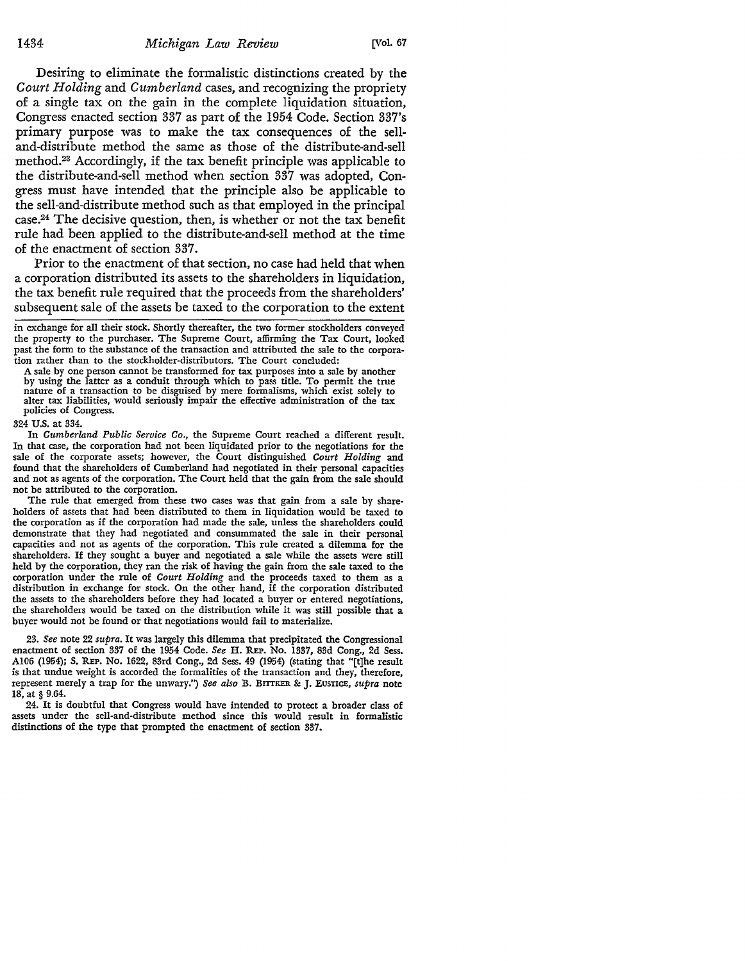Desiring to eliminate the formalistic distinctions created by the *Court Holding* and *Cumberland* cases, and recognizing the propriety of a single tax on the gain in the complete liquidation situation, Congress enacted section 337 as part of the 1954 Code. Section 337's primary purpose was to make the tax consequences of the selland-distribute method the same as those of the distribute-and-sell method.23 Accordingly, if the tax benefit principle was applicable to the distribute-and-sell method when section 337 was adopted, Congress must have intended that the principle also be applicable to the sell-and-distribute method such as that employed in the principal case.24 The decisive question, then, is whether or not the tax benefit rule had been applied to the distribute-and-sell method at the time of the enactment of section 337.

Prior to the enactment of that section, no case had held that when a corporation distributed its assets to the shareholders in liquidation, the tax benefit rule required that the proceeds from the shareholders' subsequent sale of the assets be taxed to the corporation to the extent

in exchange for all their stock. Shortly thereafter, the two former stockholders conveyed the property to the purchaser. The Supreme Court, affirming the Tax Court, looked past the form to the substance of the transaction and attributed the sale to the corporation rather than to the stockholder-distributors. The Court concluded:

A sale by one person cannot be transformed for tax purposes into a sale by another by using the latter as a conduit through which to pass title. To permit the true nature of a transaction to be disguised by mere formalisms, which exist solely to alter tax liabilities, would seriously impair the effective administration of the tax policies of Congress.

324 U.S. at 334.

In *Cumberland Public Service Co.,* the Supreme Court reached a different result. In that case, the corporation had not been liquidated prior to the negotiations for the sale of the corporate assets; however, the Court distinguished *Court Holding* and found that the shareholders of Cumberland had negotiated in their personal capacities and not as agents of the corporation. The Court held that the gain from the sale should not be attributed to the corporation.

The rule that emerged from these two cases was that gain from a sale by shareholders of assets that had been distributed to them in liquidation would be taxed to the corporation as if the corporation had made the sale, unless the shareholders could demonstrate that they had negotiated and consummated the sale in their personal capacities and not as agents of the corporation. This rule created a dilemma for the shareholders. If they sought a buyer and negotiated a sale while the assets were still held by the corporation, they ran the risk of having the gain from the sale taxed to the corporation under the rule of *Court Holding* and the proceeds taxed to them as a distribution in exchange for stock. On the other hand, if the corporation distributed the assets to the shareholders before they had located a buyer or entered negotiations, the shareholders would be taxed on the distribution while it was still possible that a buyer would not be found or that negotiations would fail to materialize.

23. *See* note 22 *supra.* **It** was largely this dilemma that precipitated the Congressional enactment of section 337 of the 1954 Code. *See* H. REP. No. 1337, 83d Cong., 2d Sess. Al06 (1954); S. REP. No. 1622, 83rd Cong., 2d Sess. 49 (1954) (stating that "[t]he result is that undue weight is accorded the formalities of the transaction and they, therefore, represent merely a trap for the unwary.") *See also* B. BITTKER & J. EUSTICE, *supra* note 18, at § 9.64.

24. It is doubtful that Congress would have intended to protect a broader class of assets under the sell-and-distribute method since this would result in formalistic distinctions of the type that prompted the enactment of section 337.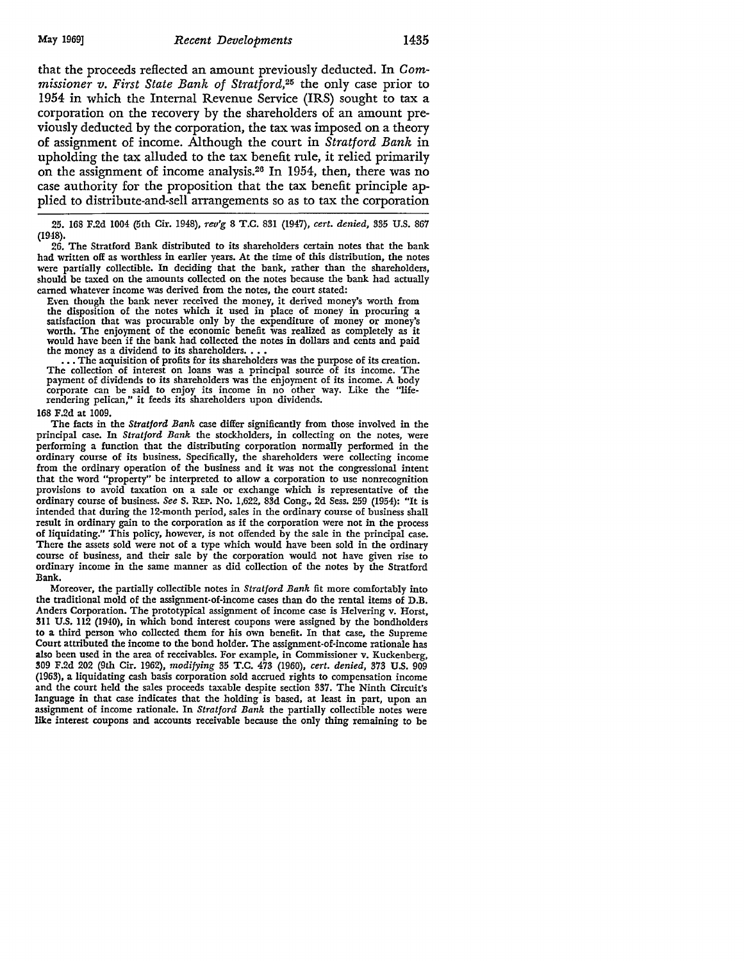that the proceeds reflected an amount previously deducted. In *Commissioner v. First State Bank of Stratford,25* the only case prior to 1954 in which the Internal Revenue Service (IRS) sought to tax a corporation on the recovery by the shareholders of an amount previously deducted by the corporation, the tax was imposed on a theory of assignment of income. Although the court in *Stratford Bank* in upholding the tax alluded to the tax benefit rule, it relied primarily on the assignment of income analysis.26 In 1954, then, there was no case authority for the proposition that the tax benefit principle applied to distribute-and-sell arrangements so as to tax the corporation

25. 168 F.2d 1004 (5th Cir. 1948), *rev'g* 8 T.C. 831 (1947), *cert. denied,* 335 U.S. 867 (1948).

26. The Stratford Bank distributed to its shareholders certain notes that the bank had written off as worthless in earlier years. At the time of this distribution, the notes were partially collectible. In deciding that the bank, rather than the shareholders, should be taxed on the amounts collected on the notes because the bank had actually earned whatever income was derived from the notes, the court stated:

Even though the bank never received the money, it derived money's worth from the disposition of the notes which it used in place of money in procuring a the disposition of the notes which it used in place of money in procuring a satisfaction that was procurable only by the expenditure of money or money's worth. The enjoyment of the economic benefit was realized as completely as it would have been if the bank had collected the notes in dollars and cents and paid the money as a dividend to its shareholders.  $\dots$ 

... The acquisition of profits for its shareholders was the purpose of its creation. The collection of interest on loans was a principal source of its income. The payment of dividends to its shareholders was the enjoyment of its income. A body corporate can be said to enjoy its income in no other way. Like the "life-rendering pelican," it feeds its shareholders upon dividends.

#### 168 F.2d at 1009.

The facts in the *Stratford Bank* case differ significantly from those involved in the principal case. In *Stratford Bank* the stockholders, in collecting on the notes, were performing a function that the distributing corporation normally performed in the ordinary course of its business. Specifically, the shareholders were collecting income from the ordinary operation of the business and it was not the congressional intent that the word "property" be interpreted to allow a corporation to use nonrecognition provisions to avoid taxation on a sale or exchange which is representative of the ordinary course of business. *See* S. REP. No. 1,622, 83d Cong., 2d Sess. 259 (1954): "It is intended that during the 12-month period, sales in the ordinary course of business shall result in ordinary gain to the corporation as if the corporation were not in the process of liquidating." This policy, however, is not offended by the sale in the principal case. There the assets sold were not of a type which would have been sold in the ordinary course of business, and their sale by the corporation would not have given rise to ordinary income in the same manner as did collection of the notes by the Stratford Bank.

Moreover, the partially collectible notes in *Stratford Bank* fit more comfortably into the traditional mold of the assignment-of-income cases than do the rental items of D.B. Anders Corporation. The prototypical assignment of income case is Helvering v. Horst, **311** U.S. 112 (1940), in which bond interest coupons were assigned by the bondholders to a third person who collected them for his own benefit. In that case, the Supreme Court attributed the income to the bond holder. The assignment-of-income rationale has also been used in the area of receivables. For example, in Commissioner v. Kuckenberg, 309 F.2d 202 (9th Cir. 1962), *modifying* 35 T.C. 473 (1960), *cert. denied,* 373 U.S. 909 (1963), a liquidating cash basis corporation sold accrued rights to compensation income and the court held the sales proceeds taxable despite section 337. The Ninth Circuit's language in that case indicates that the holding is based, at least in part, upon an assignment of income rationale. In *Stratford Bank* the partially collectible notes were like interest coupons and accounts receivable because the only thing remaining to be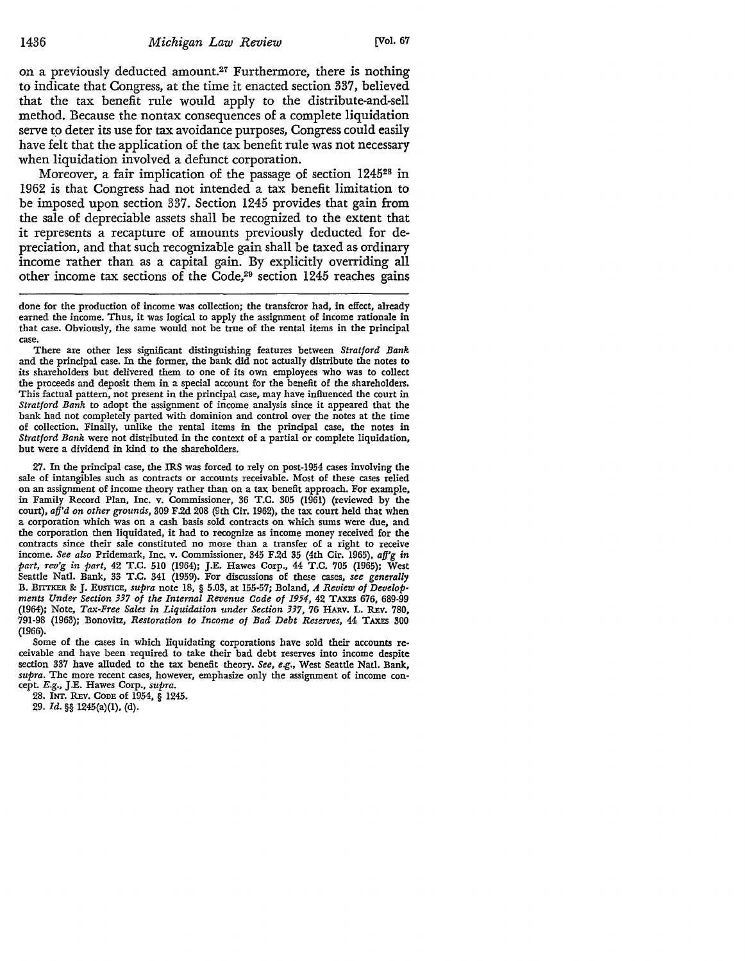on a previously deducted amount.<sup>27</sup> Furthermore, there is nothing to indicate that Congress, at the time it enacted section 337, believed that the tax benefit rule would apply to the distribute-and-sell method. Because the nontax consequences of a complete liquidation serve to deter its use for tax avoidance purposes, Congress could easily have felt that the application of the tax benefit rule was not necessary when liquidation involved a defunct corporation.

Moreover, a fair implication of the passage of section 124528 in 1962 is that Congress had not intended a tax benefit limitation to be imposed upon section 337. Section 1245 provides that gain from the sale of depreciable assets shall be recognized to the extent that it represents a recapture of amounts previously deducted for depreciation, and that such recognizable gain shall be taxed as ordinary income rather than as a capital gain. By explicitly overriding all other income tax sections of the Code, $29$  section 1245 reaches gains

There are other less significant distinguishing features between *Stratford Bank*  and the principal case. In the former, the bank did not actually distribute the notes to its shareholders but delivered them to one of its own employees who was to collect the proceeds and deposit them in a special account for the benefit of the shareholders. This factual pattern, not present in the principal case, may have influenced the court in *Stratford Bank* to adopt the assignment of income analysis since it appeared that the bank had not completely parted with dominion and control over the notes at the time of collection. Finally, unlike the rental items in the principal case, the notes in *Stratford Bank* were not distributed in the context of a partial or complete liquidation, but were a dividend in kind to the shareholders.

27. In the principal case, the IRS was forced to rely on post-1954 cases involving the sale of intangibles such as contracts or accounts receivable. Most of these cases relied on an assignment of income theory rather than on a tax benefit approach. For example, in Family Record Plan, Inc. v. Commissioner, 36 T.C. 305 (1961) (reviewed by the court), *afj'd on other grounds,* 309 F.2d 208 (9th Cir. 1962), the tax court held that when a corporation which was on a cash basis sold contracts on which sums were due, and the corporation then liquidated, it had to recognize as income money received for the contracts since their sale constituted no more than a transfer of a right to receive income. *See also* Pridemark, Inc. v. Commissioner, 345 F.2d 35 (4th Cir. 1965), *afj'g in part, rev'g in part,* 42 T.C. 510 (1964); J.E. Hawes Corp., 44 T.C. 705 (1965); West Seattle Natl. Bank, 33 T.C. 341 (1959). For discussions of these cases, *see generally*<br>B. BITTKER & J. EUSTICE, *supra* note 18, § 5.03, at 155-57; Boland, *A Review of Developments Under Section 337 of the Internal Revenue Code of 1954,* 42 TAXES 676, 689-99 (1964); Note, *Tax-Free Sales in Liquidation under Section 337,* 76 HARV, L. REv. 780, 791-98 (1963); Bonovitz, *Restoration to Income of Bad Debt Reserves,* 44 TAXES 300 (1966).

Some of the cases in which liquidating corporations have sold their accounts receivable and have been required to take their bad debt reserves into income despite section 337 have alluded to the tax benefit theory. *See, e.g.,* West Seattle Natl. Bank, *supra.* The more recent cases, however, emphasize only the assignment of income con- cept. *E.g.,* J.E. Hawes Corp., *supra.* 

28. INT. REV. CODE of 1954, § 1245.

29. *Id.* §§ 1245(a)(l), (d).

done for the production of income was collection; the transferor had, in effect, already earned the income. Thus, it was logical to apply the assignment of income rationale in that case. Obviously, the same would not be true of the rental items in the principal case.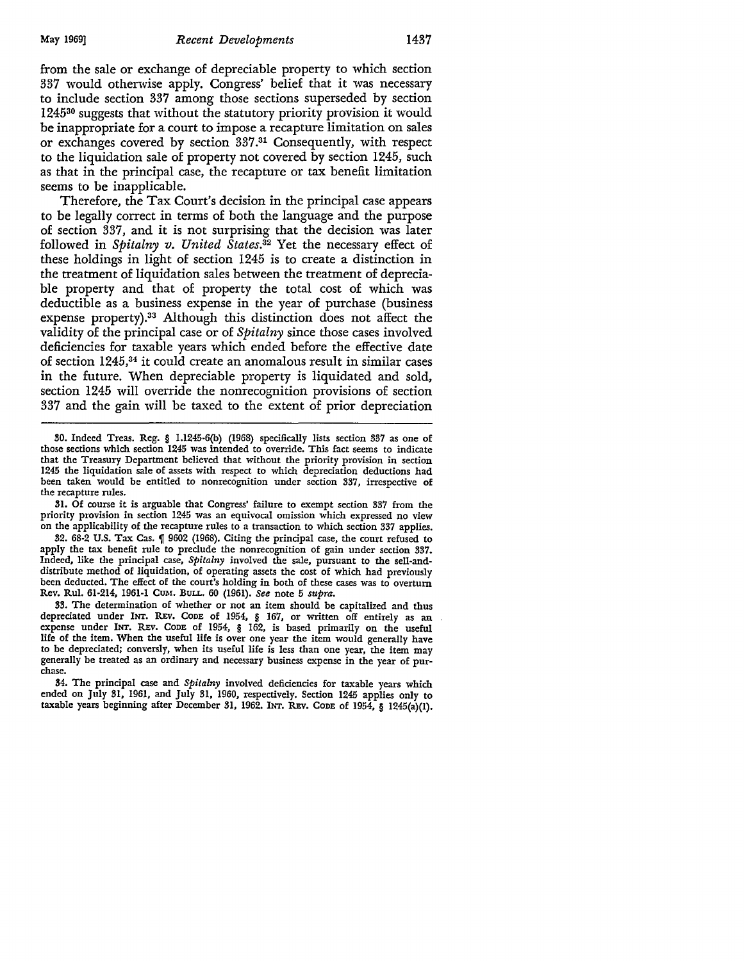from the sale or exchange of depreciable property to which section 337 would otherwise apply. Congress' belief that it was necessary to include section 337 among those sections superseded by section 124530 suggests that without the statutory priority provision it would be inappropriate for a court to impose a recapture limitation on sales or exchanges covered by section 337 . 31 Consequently, with respect to the liquidation sale of property not covered by section 1245, such as that in the principal case, the recapture or tax benefit limitation seems to be inapplicable.

Therefore, the Tax Court's decision in the principal case appears to be legally correct in terms of both the language and the purpose of section 337, and it is not surprising that the decision was later followed in *Spitalny v. United States.32* Yet the necessary effect of these holdings in light of section 1245 is to create a distinction in the treatment of liquidation sales between the treatment of depreciable property and that of property the total cost of which was deductible as a business expense in the year of purchase (business expense property).33 Although this distinction does not affect the validity of the principal case or of *Spitalny* since those cases involved deficiencies for taxable years which ended before the effective date of section 1245,34 it could create an anomalous result in similar cases in the future. When depreciable property is liquidated and sold, section 1245 will override the nonrecognition provisions of section 337 and the gain will be taxed to the extent of prior depreciation

31. Of course it is arguable that Congress' failure to exempt section 337 from the priority provision in section 1245 was an equivocal omission which expressed no view on the applicability of the recapture rules to a transaction to which section 337 applies.

32. 68-2 U.S. Tax Cas. **1** 9602 (1968). Citing the principal case, the court refused to apply the tax benefit rule to preclude the nonrecognition of gain under section 337. Indeed, like the principal case, *Spitalny* involved the sale, pursuant to the sell-anddistribute method of liquidation, of operating assets the cost of which had previously been deducted. The effect of the court's holding in both of these cases was to overturn Rev. Rul. 61-214, 1961-1 CUM. BULL. 60 (1961). *See* note 5 *supra*.

33. The determination of whether or not an item should be capitalized and thus depreciated under INT. REv. CODE of 1954, § 167, or written off entirely as an expense under INT, REv, CODE of 1954, § 162, is based primarily on the useful life of the item. When the useful life is over one year the item would generally have to be depreciated; conversly, when its useful life is less than one year, the item may generally be treated as an ordinary and necessary business expense in the year of purchase.

34. The principal case and *Spitalny* involved deficiencies for taxable years which ended on July 31, 1961, and July 31, 1960, respectively. Section 1245 applies only to taxable years beginning after December 31, 1962. INT. REv. CODE of 1954, § 1245(a)(l).

<sup>30.</sup> Indeed Treas. Reg. § I.1245-6(b) (1968) specifically lists section 337 as one of those sections which section 1245 was intended to override. This fact seems to indicate that the Treasury Department believed that without the priority provision in section 1245 the liquidation sale of assets with respect to which depreciation deductions had been taken would be entitled to nonrecognition under section 337, irrespective of the recapture rules.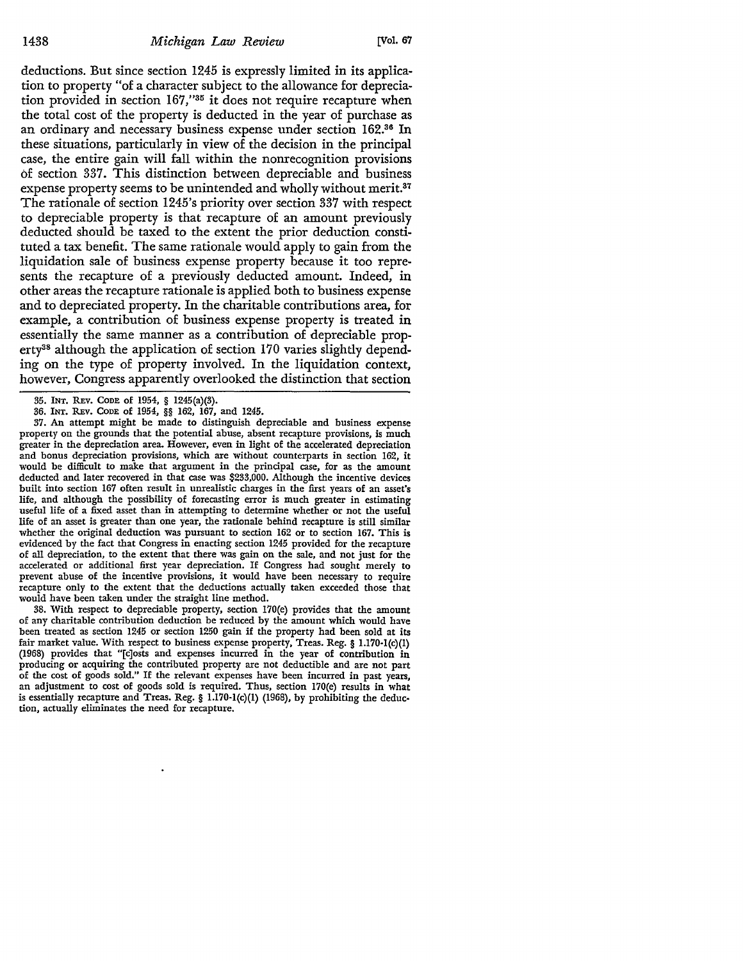deductions. But since section 1245 is expressly limited in its application to property "of a character subject to the allowance for depreciation provided in section 167,"35 it does not require recapture when the total cost of the property is deducted in the year of purchase as an ordinary and necessary business expense under section 162.36 In these situations, particularly in view of the decision in the principal case, the entire gain will fall within the nonrecognition provisions of section 337. This distinction between depreciable and business expense property seems to be unintended and wholly without merit.<sup>37</sup> The rationale of section 1245's priority over section 337 with respect to depreciable property is that recapture of an amount previously deducted should be taxed to the extent the prior deduction constituted a tax benefit. The same rationale would apply to gain from the liquidation sale of business expense property because it too represents the recapture of a previously deducted amount. Indeed, **in**  other areas the recapture rationale is applied both to business expense and to depreciated property. In the charitable contributions area, for example, a contribution of business expense property is treated in essentially the same manner as a contribution of depreciable property38 although the application of section 170 varies slightly depending on the type of property involved. In the liquidation context, however, Congress apparently overlooked the distinction that section

37. An attempt might be made to distinguish depreciable and business expense property on the grounds that the potential abuse, absent recapture provisions, is much greater in the depreciation area. However, even in light of the accelerated depreciation and bonus depreciation provisions, which are without counterparts in section 162, it would be difficult to make that argument in the principal case, for as the amount deducted and later recovered in that case was \$233,000. Although the incentive devices built into section 167 often result in unrealistic charges in the first years of an asset's life, and although the possibility of forecasting error is much greater in estimating useful life of a fixed asset than in attempting to determine whether or not the useful life of an asset is greater than one year, the rationale behind recapture is still similar whether the original deduction was pursuant to section 162 or to section 167. This is evidenced by the fact that Congress in enacting section 1245 provided for the recapture of all depreciation, to the extent that there was gain on the sale, and not just for the accelerated or additional first year depreciation. If Congress had sought merely to prevent abuse of the incentive provisions, it would have been necessary to require recapture only to the extent that the deductions actually taken exceeded those that would have been taken under the straight line method.

38. With respect to depreciable property, section 170(e) provides that the amount of any charitable contribution deduction be reduced by the amount which would have been treated as section 1245 or section 1250 gain if the property had been sold at its fair market value. With respect to business expense property, Treas. Reg. § 1.170-1(c)(1) (1968) provides that "[c]osts and expenses incurred in the year of contribution in producing or acquiring the contributed property are not deductible and are not part of the cost of goods sold." If the relevant expenses have been incurred in past years, an adjustment to cost of goods sold is required. Thus, section 170(e) results in what is essentially recapture and Treas. Reg. § 1.170-l(c)(I) (1968), by prohibiting the deduction, actually eliminates the need for recapture.

<sup>35.</sup> INT. REv. CODE of 1954, § 1245(a)(3).

<sup>36.</sup> INT. REV. CODE of 1954, §§ 162, 167, and 1245.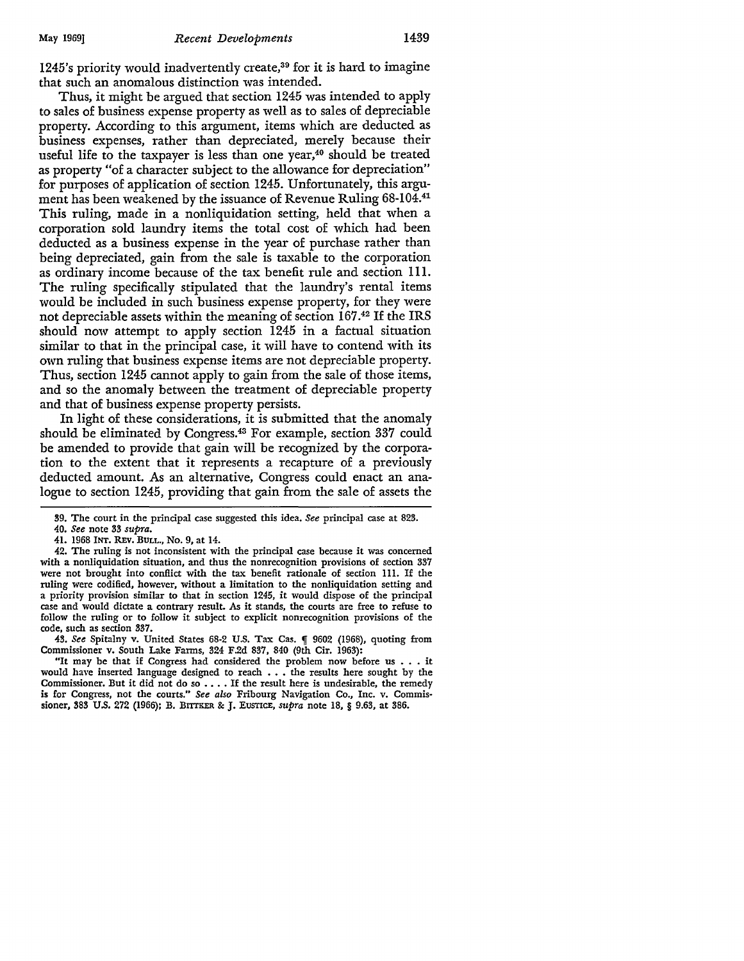1245's priority would inadvertently create,39 for it is hard to imagine that such an anomalous distinction was intended.

Thus, it might be argued that section 1245 was intended to apply to sales of business expense property as well as to sales of depreciable property. According to this argument, items which are deducted as business expenses, rather than depreciated, merely because their useful life to the taxpayer is less than one year,<sup>40</sup> should be treated as property "of a character subject to the allowance for depreciation" for purposes of application of section 1245. Unfortunately, this argument has been weakened by the issuance of Revenue Ruling 68-104.<sup>41</sup> This ruling, made in a nonliquidation setting, held that when a corporation sold laundry items the total cost of which had been deducted as a business expense in the year of purchase rather than being depreciated, gain from the sale is taxable to the corporation as ordinary income because of the tax benefit rule and section 111. The ruling specifically stipulated that the laundry's rental items would be included in such business expense property, for they were not depreciable assets within the meaning of section 167.42 If the IRS should now attempt to apply section 1245 in a factual situation similar to that in the principal case, it will have to contend with its own ruling that business expense items are not depreciable property. Thus, section 1245 cannot apply to gain from the sale of those items, and so the anomaly between the treatment of depreciable property and that of business expense property persists.

In light of these considerations, it is submitted that the anomaly should be eliminated by Congress.43 For example, section 337 could be amended to provide that gain will be recognized by the corporation to the extent that it represents a recapture of a previously deducted amount. As an alternative, Congress could enact an analogue to section 1245, providing that gain from the sale of assets the

43. See Spitalny v. United States 68-2 U.S. Tax Cas. **[9602 (1968)**, quoting from Commissioner v. South Lake Farms, 324 F.2d 837, 840 (9th Cir. 1963):

"It may be that if Congress had considered the problem now before us • • • it would have inserted language designed to reach  $\ldots$  the results here sought by the Commissioner. But it did not do so  $\ldots$ . If the result here is undesirable, the remedy is for Congress, not the courts." *See also* Fribourg Navigation Co., Inc. v. Commissioner, 383 U.S. 272 (1966); B. BITTKER & J. EUSTICE, *supra* note 18, § 9.63, at 386.

<sup>39.</sup> The court in the principal case suggested this idea. *See* principal case at 823.

<sup>40.</sup> *See* note 33 *supra.* 

<sup>41. 1968</sup> INT. REV. BULL., No. 9, at 14.

<sup>42.</sup> The ruling is not inconsistent with the principal case because it was concerned with a nonliquidation situation, and thus the nonrecognition provisions of section 337 were not brought into conflict with the tax benefit rationale of section lll. If the ruling were codified, however, without a limitation to the nonliquidation setting and a priority provision similar to that in section 1245, it would dispose of the principal case and would dictate a contrary result. As it stands, the courts are free to refuse to follow the ruling or to follow it subject to explicit nonrecognition provisions of the code, such as section 337.